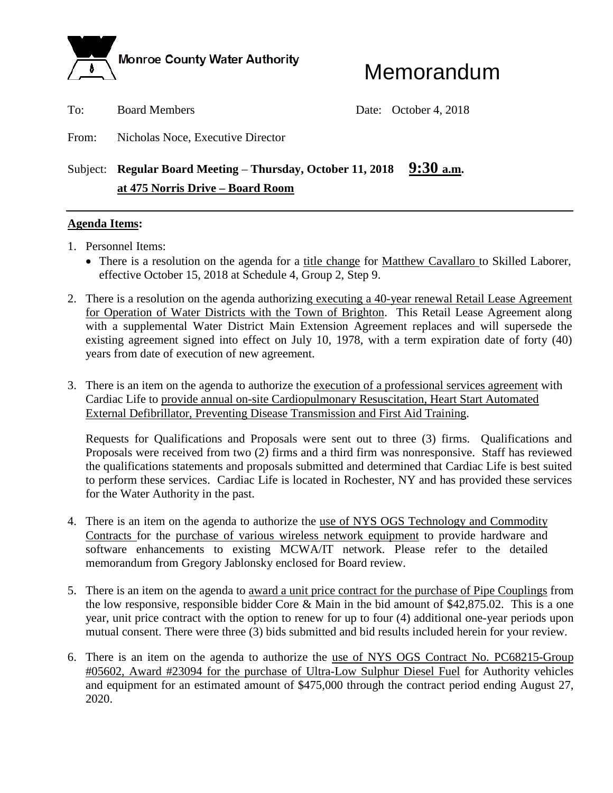

# Memorandum

To: Board Members Date: October 4, 2018

From: Nicholas Noce, Executive Director

# Subject: **Regular Board Meeting – Thursday, October 11, 2018** 9:30 a.m. **at 475 Norris Drive – Board Room**

### **Agenda Items:**

- 1. Personnel Items:
	- There is a resolution on the agenda for a title change for Matthew Cavallaro to Skilled Laborer, effective October 15, 2018 at Schedule 4, Group 2, Step 9.
- 2. There is a resolution on the agenda authorizing executing a 40-year renewal Retail Lease Agreement for Operation of Water Districts with the Town of Brighton. This Retail Lease Agreement along with a supplemental Water District Main Extension Agreement replaces and will supersede the existing agreement signed into effect on July 10, 1978, with a term expiration date of forty (40) years from date of execution of new agreement.
- 3. There is an item on the agenda to authorize the execution of a professional services agreement with Cardiac Life to provide annual on-site Cardiopulmonary Resuscitation, Heart Start Automated External Defibrillator, Preventing Disease Transmission and First Aid Training.

Requests for Qualifications and Proposals were sent out to three (3) firms. Qualifications and Proposals were received from two (2) firms and a third firm was nonresponsive. Staff has reviewed the qualifications statements and proposals submitted and determined that Cardiac Life is best suited to perform these services. Cardiac Life is located in Rochester, NY and has provided these services for the Water Authority in the past.

- 4. There is an item on the agenda to authorize the use of NYS OGS Technology and Commodity Contracts for the purchase of various wireless network equipment to provide hardware and software enhancements to existing MCWA/IT network. Please refer to the detailed memorandum from Gregory Jablonsky enclosed for Board review.
- 5. There is an item on the agenda to award a unit price contract for the purchase of Pipe Couplings from the low responsive, responsible bidder Core & Main in the bid amount of \$42,875.02. This is a one year, unit price contract with the option to renew for up to four (4) additional one-year periods upon mutual consent. There were three (3) bids submitted and bid results included herein for your review.
- 6. There is an item on the agenda to authorize the use of NYS OGS Contract No. PC68215-Group #05602, Award #23094 for the purchase of Ultra-Low Sulphur Diesel Fuel for Authority vehicles and equipment for an estimated amount of \$475,000 through the contract period ending August 27, 2020.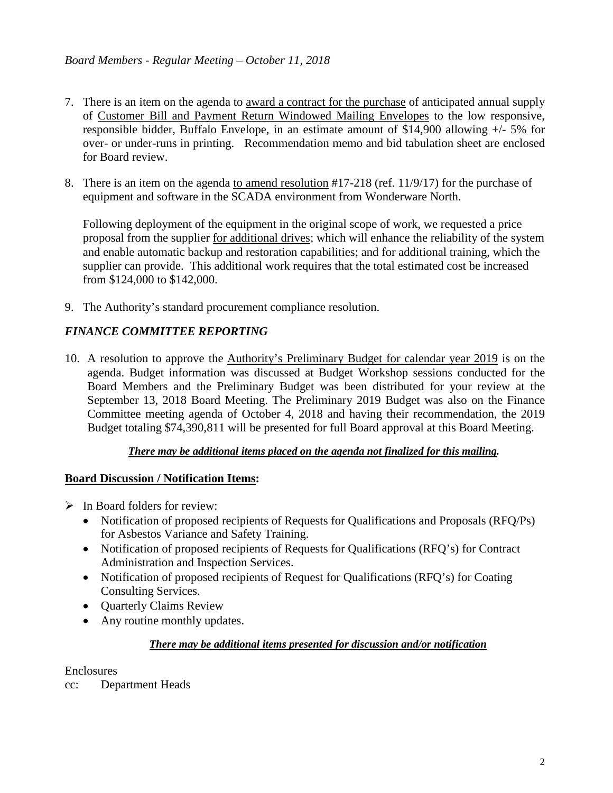- 7. There is an item on the agenda to award a contract for the purchase of anticipated annual supply of Customer Bill and Payment Return Windowed Mailing Envelopes to the low responsive, responsible bidder, Buffalo Envelope, in an estimate amount of \$14,900 allowing +/- 5% for over- or under-runs in printing. Recommendation memo and bid tabulation sheet are enclosed for Board review.
- 8. There is an item on the agenda to amend resolution #17-218 (ref. 11/9/17) for the purchase of equipment and software in the SCADA environment from Wonderware North.

Following deployment of the equipment in the original scope of work, we requested a price proposal from the supplier for additional drives; which will enhance the reliability of the system and enable automatic backup and restoration capabilities; and for additional training, which the supplier can provide. This additional work requires that the total estimated cost be increased from \$124,000 to \$142,000.

9. The Authority's standard procurement compliance resolution.

# *FINANCE COMMITTEE REPORTING*

10. A resolution to approve the Authority's Preliminary Budget for calendar year 2019 is on the agenda. Budget information was discussed at Budget Workshop sessions conducted for the Board Members and the Preliminary Budget was been distributed for your review at the September 13, 2018 Board Meeting. The Preliminary 2019 Budget was also on the Finance Committee meeting agenda of October 4, 2018 and having their recommendation, the 2019 Budget totaling \$74,390,811 will be presented for full Board approval at this Board Meeting.

## *There may be additional items placed on the agenda not finalized for this mailing.*

### **Board Discussion / Notification Items:**

- $\triangleright$  In Board folders for review:
	- Notification of proposed recipients of Requests for Qualifications and Proposals (RFQ/Ps) for Asbestos Variance and Safety Training.
	- Notification of proposed recipients of Requests for Qualifications (RFQ's) for Contract Administration and Inspection Services.
	- Notification of proposed recipients of Request for Qualifications (RFQ's) for Coating Consulting Services.
	- Quarterly Claims Review
	- Any routine monthly updates.

### *There may be additional items presented for discussion and/or notification*

Enclosures

cc: Department Heads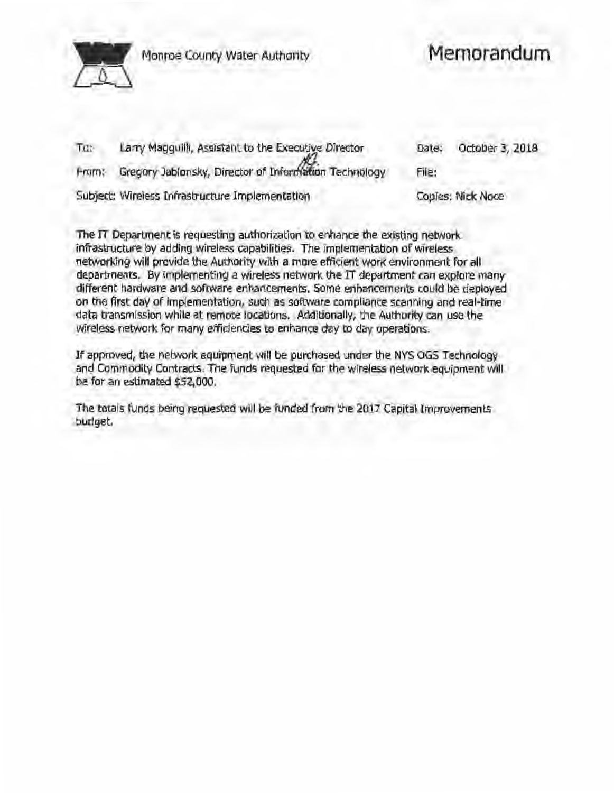

~ Monroe County Water Authority

# **Memorandum**

| Tu:   | Larry Magguilli, Assistant to the Executive Director  | Date: | October 3, 2018   |
|-------|-------------------------------------------------------|-------|-------------------|
| Fram: | Gregory Jablonsky, Director of Information Technology | File: |                   |
|       | Subject: Wireless Infrastructure Implementation       |       | Coples: Nick Noce |

The IT Department is requesting authorization to enhance the existing network. infrastructure by adding wireless capabilities. The implementation of wireless networking will provide the Authority with a more efficient work environment for all departments. By implementing a wireless network the IT department can explore many different hardware and software enhancements. Some enhancements could be deployed on the first day of implementation, such as software compliance scanning and real-time data transmission while at remote locations. Additionally, the Authority can use the wireless network for many efficiencies to enhance day to day operations.

If approved, the network equipment will be purchased under the NYS OGS Technology and Commodity Contracts. The funds requested for the wireless network equipment will be for an estimated \$52,000.

The totals funds being requested will be funded from the 2017 Capital Improvements budget.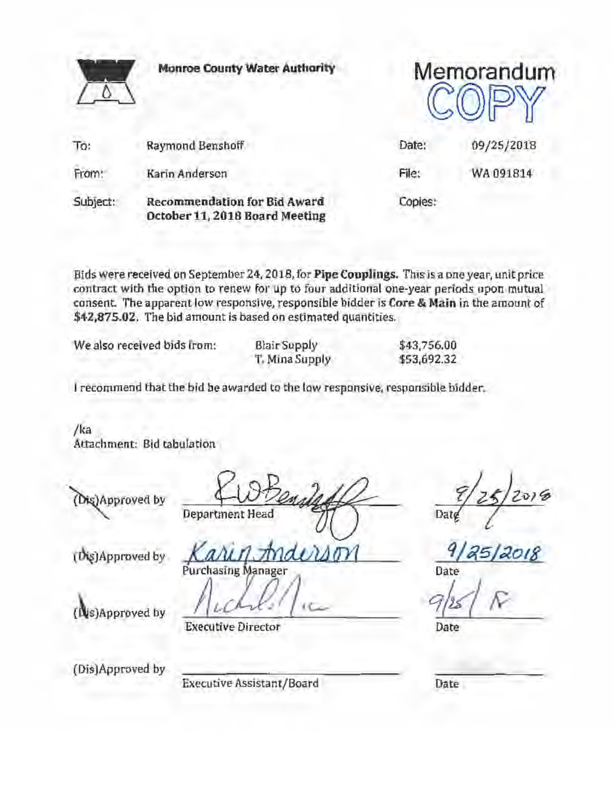|          | <b>Monroe County Water Authority</b>                           | Memorandum |            |  |
|----------|----------------------------------------------------------------|------------|------------|--|
| To:      | Raymond Benshoff                                               | Date:      | 09/25/2018 |  |
| From:    | Karin Anderson                                                 | File:      | WA 091814  |  |
| Subject: | Recommendation for Bid Award<br>October 11, 2018 Board Meeting | Copies:    |            |  |

Bids were received on September 24, 2018, for Pipe Couplings. This is a one year, unit price contract with the option to renew for up to four additional one-year periods upon mutual consent The apparent low responsive, responsible bidder is Core & Main in the amount of \$42,875.02. The bid amount is based on estimated quantities.

We also received bids from: Blair Supply

T. Mina Supply

\$43,756.00 \$53,692.32

I recommend that the bid be awarded to the low responsive, responsible bidder.

/ka Attachment: Bid tabulation

(Dis)Approved by

Department Head

Date

Date

(Dis)Approved by

Executive Assistant/Board Date

 $(b)$  Approved by  $K$ arin Anderson 9/25/2018

s)Approved by  $f(LCA-k)/t$ 

Executive Director Date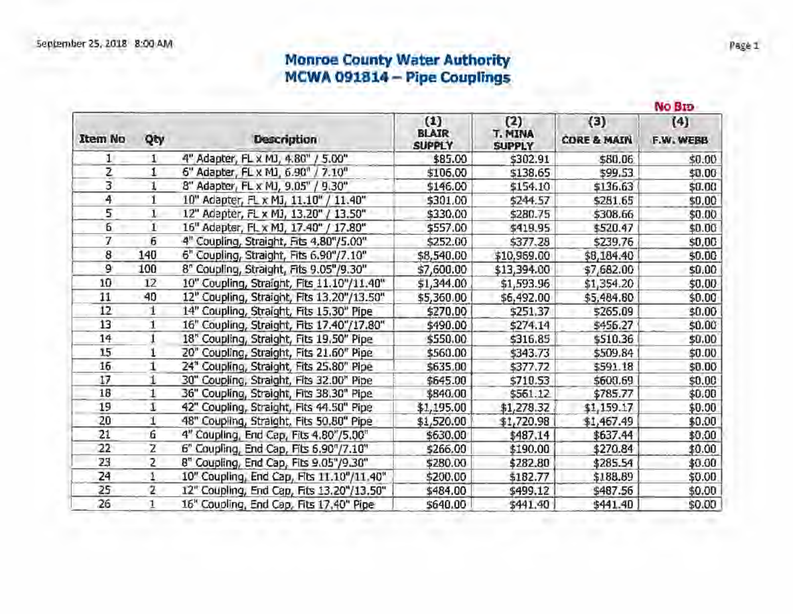# Monroe County Water Authority MCWA 091814 - Pipe Couplings

|                | No Bio |                                            |                                      |                                        |                               |                  |  |  |  |  |  |
|----------------|--------|--------------------------------------------|--------------------------------------|----------------------------------------|-------------------------------|------------------|--|--|--|--|--|
| <b>Item No</b> | Qty    | <b>Description</b>                         | (1)<br><b>BLAIR</b><br><b>SUPPLY</b> | (2)<br><b>T. MINA</b><br><b>SUPPLY</b> | (3)<br><b>CORE &amp; MAIN</b> | (4)<br>F.W. WEBB |  |  |  |  |  |
| 1              | 1      | 4" Adapter, FL x MJ, 4.80" / 5.00"         | \$85.00                              | \$302.91                               | \$80.06                       | \$0.00           |  |  |  |  |  |
| Ž              | 1      | 6" Adapter, FL x MJ, 6.90" / 7.10"         | \$106.00                             | \$138.65                               | \$99.53                       | \$0.00           |  |  |  |  |  |
| 3              |        | 8" Adapter, FL x MJ, 9.05" / 9.30"         | \$146.00                             | \$154.10                               | \$136.63                      | \$0.00           |  |  |  |  |  |
| 4              | 1      | 10" Adapter, FL x MJ, 11.10" / 11.40"      | \$301.00                             | \$244.57                               | \$251.65                      | \$0.00           |  |  |  |  |  |
| 5              |        | 12" Adapter, FL x MJ, 13.20" / 13.50"      | \$330.00                             | \$280.75                               | \$308.66                      | \$0.00           |  |  |  |  |  |
| б              | 1      | 16" Adapter, FL x MJ, 17.40" / 17.80"      | \$557.00                             | \$419.95                               | \$520.47                      | \$0.00           |  |  |  |  |  |
| 7              | 6      | 4" Coupling, Straight, Fits 4,80"/5.00"    | \$252.00                             | \$377.28                               | \$239.76                      | \$0.00           |  |  |  |  |  |
| 8              | 140    | 6" Coupling, Straight, Fits 6.90"/7.10"    | \$8,540.00                           | \$10,969.00                            | \$8,184.40                    | \$0.00           |  |  |  |  |  |
| 9              | 100    | 8" Coupling, Straight, Fits 9.05"/9.30"    | \$7,600.00                           | \$13,394.00                            | \$7,682.00                    | \$0.00           |  |  |  |  |  |
| 10             | 12     | 10" Coupling, Straight, Fits 11.10"/11.40" | \$1,344.00                           | \$1,593.96                             | \$1,354.20                    | \$0.00           |  |  |  |  |  |
| 11             | 40     | 12" Coupling, Straight, Fits 13.20"/13.50" | \$5,360.00                           | \$6,492.00                             | \$5,484.80                    | \$0.00           |  |  |  |  |  |
| 12             | 1      | 14" Coupling, Straight, Fits 15.30" Pipe   | \$270.00                             | \$251.37                               | \$265.09                      | \$0.00           |  |  |  |  |  |
| 13             | 1      | 16" Coupling, Straight, Fits 17.40"/17.80" | \$490.00                             | \$274.14                               | \$456.27                      | \$0.00           |  |  |  |  |  |
| 14             |        | 18" Coupling, Straight, Fits 19.50" Pipe   | \$550.00                             | \$316.85                               | \$510.36                      | \$0.00           |  |  |  |  |  |
| 15             |        | 20" Coupling, Straight, Fits 21.60" Pipe   | \$560.00                             | \$343.73                               | \$509.84                      | \$0.00           |  |  |  |  |  |
| 15             | 1      | 24" Coupling, Straight, Fits 25.80" Pipe   | \$635.00                             | \$377.72                               | \$591.18                      | \$0.00           |  |  |  |  |  |
| 17             |        | 30" Coupling, Straight, Fits 32.00" Pipe   | \$645.00                             | \$710.53                               | \$600.69                      | \$0.00           |  |  |  |  |  |
| 18             | 1      | 36" Coupling, Straight, Fits 38.30" Pipe.  | \$840.00                             | \$561.12                               | \$785.77                      | \$0.00           |  |  |  |  |  |
| 19             | 1      | 42" Coupling, Straight, Fits 44.50" Pipe   | \$1,195.00                           | \$1,278.32                             | \$1,159.17                    | \$0.00           |  |  |  |  |  |
| 20             | 1      | 48" Coupling, Straight, Fits 50.80" Pipe   | \$1,520.00                           | \$1,720.98                             | \$1,467.49                    | \$0.00           |  |  |  |  |  |
| 21             | G      | 4" Coupling, End Cap, Fits 4.80"/5.00"     | \$630.00                             | \$487.14                               | \$637.44                      | \$0.00           |  |  |  |  |  |
| 22             | Ż      | 6" Coupling, End Cap, Fits 6.90"/7.10"     | \$266.00                             | \$190.00                               | \$270.84                      | \$0.00           |  |  |  |  |  |
| 23             | 2      | 8" Coupling, End Cap, Fits 9.05"/9.30"     | \$280.00                             | \$282.80                               | \$285.54                      | \$0.00           |  |  |  |  |  |
| 24             | 1      | 10" Coupling, End Cap, Fits 11.10"/11.40"  | \$200.00                             | \$182.77                               | \$188.89                      | \$0.00           |  |  |  |  |  |
| 25             | 2      | 12" Coupling, End Cap, Fits 13.20"/13.50"  | \$484.00                             | \$499.12                               | \$487.56                      | \$0.00           |  |  |  |  |  |
| 26             | 1.     | 16" Coupling, End Cap, Fits 17,40" Pipe    | \$640.00                             | \$441.40                               | \$441.40                      | \$0.00           |  |  |  |  |  |

Page 1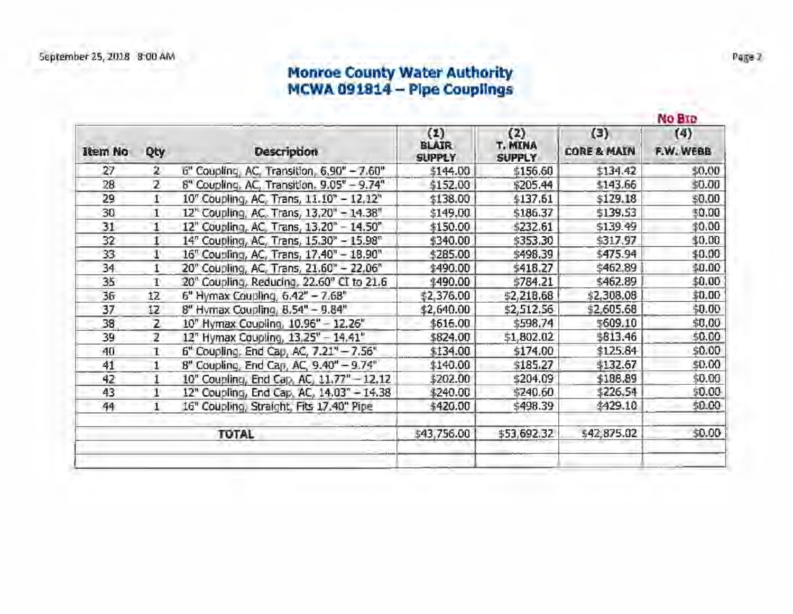# Monroe County Water Authority MCWA 091814 - Pipe Couplings

| Qty<br>2<br>z<br>T.<br>T.<br>1<br>1<br>$\mathbf{1}^{\circ}$ | <b>Description</b><br>6" Coupling, AC, Transition, 6,90" - 7.60"<br>8" Coupling, AC, Transition, 9.05" - 9.74"<br>10" Coupling, AC, Trans, 11.10" - 12,12"<br>12" Coupling, AC. Trans, 13,20" - 14.38"<br>12" Coupling, AC, Trans, 13.20" - 14.50"<br>14" Coupling, AC, Trans, 15.30" - 15.98" | (1)<br>BLAIR<br><b>SUPPLY</b><br>\$144.00<br>\$152.00<br>\$138.00<br>\$149.00<br>\$150.00                                                                         | (2)<br>T. MINA<br><b>SUPPLY</b><br>\$156.60<br>\$205.44<br>\$137.61<br>\$186.37<br>\$232.61 | (3)<br><b>CORE &amp; MAIN</b><br>\$134.42<br>\$143.66<br>\$129.18<br>\$139.53 | (4)<br>F.W. WEBB<br>\$0.00 |
|-------------------------------------------------------------|------------------------------------------------------------------------------------------------------------------------------------------------------------------------------------------------------------------------------------------------------------------------------------------------|-------------------------------------------------------------------------------------------------------------------------------------------------------------------|---------------------------------------------------------------------------------------------|-------------------------------------------------------------------------------|----------------------------|
|                                                             |                                                                                                                                                                                                                                                                                                |                                                                                                                                                                   |                                                                                             |                                                                               | \$0.00<br>\$0.00<br>\$0.00 |
|                                                             |                                                                                                                                                                                                                                                                                                |                                                                                                                                                                   |                                                                                             |                                                                               |                            |
|                                                             |                                                                                                                                                                                                                                                                                                |                                                                                                                                                                   |                                                                                             |                                                                               |                            |
|                                                             |                                                                                                                                                                                                                                                                                                |                                                                                                                                                                   |                                                                                             |                                                                               |                            |
|                                                             |                                                                                                                                                                                                                                                                                                |                                                                                                                                                                   |                                                                                             |                                                                               |                            |
|                                                             |                                                                                                                                                                                                                                                                                                |                                                                                                                                                                   |                                                                                             | \$139.49                                                                      | \$0.00                     |
|                                                             |                                                                                                                                                                                                                                                                                                | \$340.00                                                                                                                                                          | \$353.30                                                                                    | \$317.97                                                                      | \$0.00                     |
|                                                             | 16" Coupling, AC, Trans, 17.40" - 18.90"                                                                                                                                                                                                                                                       | \$285.00                                                                                                                                                          | \$498.39                                                                                    | \$475.94                                                                      | \$0.00                     |
| 1                                                           | 20" Coupling, AC, Trans, 21.60" - 22.06"                                                                                                                                                                                                                                                       | \$490.00                                                                                                                                                          | \$418.27                                                                                    | \$462.89                                                                      | \$0.00                     |
| r                                                           |                                                                                                                                                                                                                                                                                                | \$490.00                                                                                                                                                          | \$784.21                                                                                    | \$462.89                                                                      | \$0.00                     |
| 12                                                          | 6" Hymax Coupling, 6.42" - 7.68"                                                                                                                                                                                                                                                               | \$2,376.00                                                                                                                                                        | \$2,218.68                                                                                  | \$2,308.08                                                                    | \$0.00                     |
| 12                                                          |                                                                                                                                                                                                                                                                                                | \$2,640.00                                                                                                                                                        | \$2,512.56                                                                                  | \$2,605.68                                                                    | \$0.00                     |
| z                                                           |                                                                                                                                                                                                                                                                                                | \$616.00                                                                                                                                                          | \$598.74                                                                                    | \$609.10                                                                      | \$0,00                     |
| 2                                                           | 12" Hymax Coupling, 13.25" - 14.41"                                                                                                                                                                                                                                                            | \$824.00                                                                                                                                                          | \$1,802.02                                                                                  | \$813.46                                                                      | \$0.00                     |
| T.                                                          | 6" Coupling, End Cap, AC, 7.21" - 7.56"                                                                                                                                                                                                                                                        | \$134.00                                                                                                                                                          | \$174.00                                                                                    | \$125.84                                                                      | \$0.00                     |
|                                                             | 8" Coupling, End Cap, AC, 9.40" - 9.74"                                                                                                                                                                                                                                                        | \$140.00                                                                                                                                                          | \$185,27                                                                                    | \$132.67                                                                      | \$0.00                     |
| 1                                                           | 10" Coupling, End Cap, AC, 11.77" - 12.12                                                                                                                                                                                                                                                      | \$202.00                                                                                                                                                          | \$204.09                                                                                    | \$188.89                                                                      | \$0.00                     |
| 1                                                           |                                                                                                                                                                                                                                                                                                | \$240.00                                                                                                                                                          | \$240.60                                                                                    | \$226.54                                                                      | \$0.00                     |
| 1                                                           | 16" Coupling, Straight, Fits 17.40" Pipe                                                                                                                                                                                                                                                       | \$420.00                                                                                                                                                          | \$498.39                                                                                    | \$429.10                                                                      | \$0.00                     |
|                                                             | <b>TOTAL</b>                                                                                                                                                                                                                                                                                   | \$43,756.00                                                                                                                                                       | \$53,692.32                                                                                 | \$42,875.02                                                                   | \$0.00                     |
|                                                             |                                                                                                                                                                                                                                                                                                | 20" Coupling, Reducing, 22.60" CI to 21.6<br>8" Hymax Coupling, 8.54" - 9.84"<br>10" Hymax Coupling, 10.96" - 12.26"<br>12" Coupling, End Cap. AC, 14.03" - 14.38 |                                                                                             |                                                                               |                            |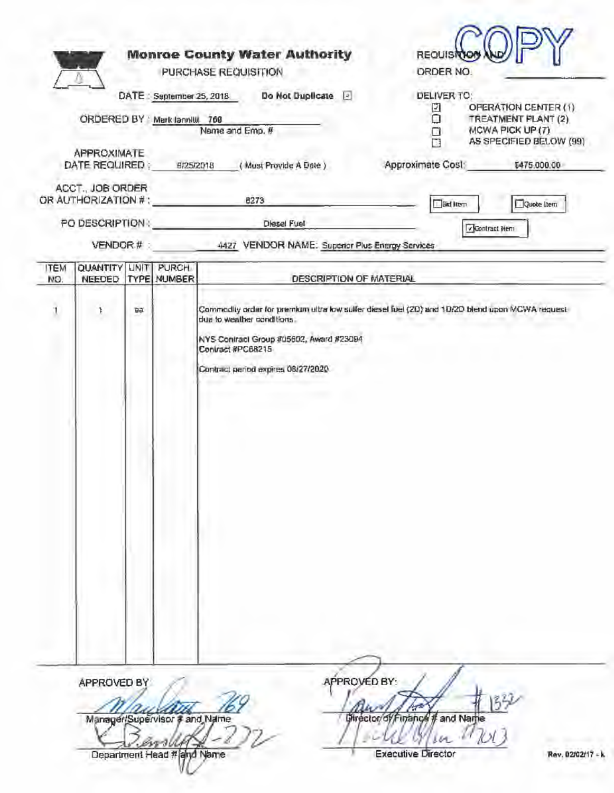|                    | ORDERED BY Mark Jannilli 769<br>APPROXIMATE<br>DATE REQUIRED<br>ACCT., JOB ORDER<br>OR AUTHORIZATION #:<br>PO DESCRIPTION:<br>VENDOR#: |       | DATE: September 25, 2018<br>9/25/2018 | Do Not Duplicate [2]<br>Name and Emp. #<br>(Must Provide A Date)<br>8273<br>Diesel Fuel<br>4427 VENDOR NAME: Superior Plus Energy Services | DELIVER TO:<br>OFERATION CENTER (1)<br>2<br>Ω<br>TREATMENT PLANT (2)<br>MCWA PICK UP (7)<br>Ω<br>AS SPECIFIED BELOW (99)<br>Approximate Cost:<br>\$475,000.00<br><b>Bid Item</b><br>Quote Item<br>v Contract Hem |
|--------------------|----------------------------------------------------------------------------------------------------------------------------------------|-------|---------------------------------------|--------------------------------------------------------------------------------------------------------------------------------------------|------------------------------------------------------------------------------------------------------------------------------------------------------------------------------------------------------------------|
| <b>ITEM</b><br>NO. | QUANTITY<br>NEEDED                                                                                                                     | LINIT | PURCH.<br><b>TYPE NUMBER</b>          | DESCRIPTION OF MATERIAL                                                                                                                    |                                                                                                                                                                                                                  |
| 1                  | Ŧ                                                                                                                                      | 日点    |                                       | due to weather conditions.<br>NYS Contract Group #05602, Award #23094<br>Contract #PC68215<br>Contract period expires 08/27/2020           | Commodity order for premium eitra low suffer diesel fuel (2D) and 1D/2D blend upon MCWA request                                                                                                                  |
|                    | APPROVED BY                                                                                                                            |       |                                       | APPROVED BY:                                                                                                                               |                                                                                                                                                                                                                  |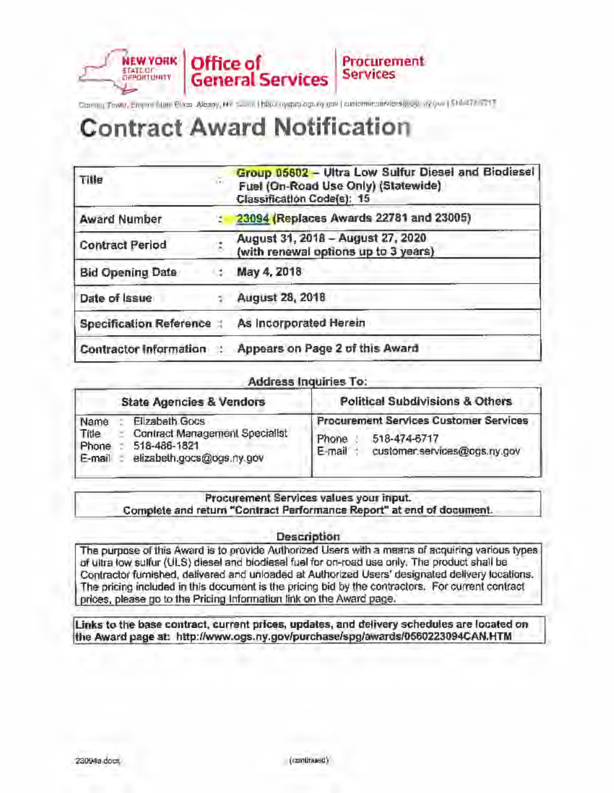#### **Office of NEW YORK** Procurement **STATE OF**<br>GRPORTUNITY **Services General Services**

Coming Tower, Engine Num Place Alberty, NY 5. 209 | http://nycpity.ogr.ny.gov | customercran/longity.og/ yy-jew | \$18.474 and

# **Contract Award Notification**

| Title                          | Group 05802 - Ultra Low Sulfur Diesel and Biodiesel<br>Fuel (On-Road Use Only) (Statewide)<br>Classification Code(s): 15 |
|--------------------------------|--------------------------------------------------------------------------------------------------------------------------|
| <b>Award Number</b>            | : 23094 (Replaces Awards 22781 and 23005)                                                                                |
| <b>Contract Period</b>         | August 31, 2018 - August 27, 2020<br>(with renewal options up to 3 years)                                                |
| <b>Bid Opening Date</b>        | May 4, 2018                                                                                                              |
| Date of Issue                  | August 28, 2018                                                                                                          |
| <b>Specification Reference</b> | As incorporated Herein                                                                                                   |
| <b>Contractor Information</b>  | Appears on Page 2 of this Award                                                                                          |

#### Address Inquiries To:

|                                  | <b>State Agencies &amp; Vendors</b>                                                           | <b>Political Subdivisions &amp; Others</b>                                                                       |  |  |  |
|----------------------------------|-----------------------------------------------------------------------------------------------|------------------------------------------------------------------------------------------------------------------|--|--|--|
| Name<br>Title<br>Phone<br>E-mail | Elizabeth Gocs<br>Contract Management Specialist<br>518-486-1821<br>elizabeth.gocs@ogs.ny.gov | <b>Procurement Services Customer Services</b><br>518-474-6717<br>Phone<br>E-mail<br>customer.services@ogs.ny.gov |  |  |  |

#### Procurement Services values your input. Complete and return "Contract Performance Report" at end of document.

#### Description

The purpose of this Award is to provide Authorized Users with a means of acquiring various types of ultra low sulfur (ULS) diesel and biodiesel fuel for on-road use only. The product shall be Contractor furnished, delivered and unloaded at Authorized Users' designated delivery locations. The pricing included in this document is the pricing bid by the contractors. For current contract prices, please go to the Pricing Information link on the Award page.

Links to the base contract, current prices, updates, and delivery schedules are located on the Award page at: http://www.ogs.ny.gov/purchase/spg/awards/0560223094CAN.HTM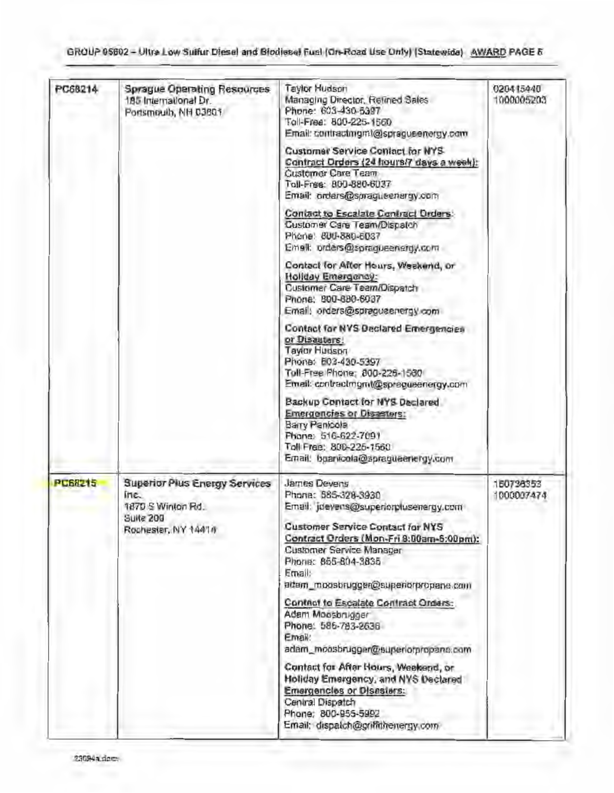| PC68214        | <b>Sprague Operating Resources</b><br>185 International Dr.<br>Portsmouth, NH 03801                   | <b>Taylor Hudson</b><br>Managing Director, Retined Sales<br>Phone: 603-430-5397<br>Toll-Free: 800-225-1560<br>Email: contractmgmt@spragueenergy.com                                                                                                                             | 020415440<br>1000005203 |
|----------------|-------------------------------------------------------------------------------------------------------|---------------------------------------------------------------------------------------------------------------------------------------------------------------------------------------------------------------------------------------------------------------------------------|-------------------------|
|                |                                                                                                       | Customer Service Contact for NYS<br>Contract Orders (24 hours/7 days a week):<br><b>Customer Care Team</b><br>Toll-Free: 800-880-6037<br>Email: orders@spragueenergy.com                                                                                                        |                         |
|                |                                                                                                       | Contact to Escalate Contract Orders:<br>Customer Care Team/Dispatch<br>Phone: 800-880-6037<br>Email: orders@spragueenergy.com                                                                                                                                                   |                         |
|                |                                                                                                       | Contact for After Hours, Weekend, or<br>Hollday Emergency:<br>Customer Care Team/Dispatch<br>Phone: 800-880-6037<br>Email: orders@spragueenergy.com                                                                                                                             |                         |
|                |                                                                                                       | Contact for NYS Declared Emergencies<br>or Disauters!<br>Taylor Hubson<br>Phone: 803-430-5397<br>Toll-Free Phone: 800-225-1580<br>Email: contractmgmt@spragueenergy.com                                                                                                         |                         |
|                |                                                                                                       | Backup Contact for NYS Declared<br><b>Emergencies or Disasters:</b><br>Barry Panicola<br>Phone: 516-622-7091<br>Toll Free: 800-225-1560<br>Email: boarvicela@spragueenergy.com                                                                                                  |                         |
| <b>PC68215</b> | <b>Superior Plus Energy Services</b><br>ine.<br>1870 S Winton Rd.<br>Suite 200<br>Rochester, NY 14414 | <b>James Devens</b><br>Phone: 585-328-3930<br>Email: jdevens@superiorplusenergy.com<br><b>Customer Service Contact for NYS</b><br>Contract Orders (Mon-Fri 8:00am-5:00pm):<br>Customer Service Manager<br>Phone: 855-804-3835<br>Email:<br>adam_moosbrugger@superiorpropane.com | 150736353<br>1000007474 |
|                |                                                                                                       | Contact to Escalate Contract Orders:<br>Adam Moosbrugger<br>Phone: 586-783-2636<br>Email:<br>adam_moosbrugger@superiorpropane.com                                                                                                                                               |                         |
|                |                                                                                                       | Contact for After Hours, Weekend, or<br>Holiday Emergency, and NYS Declared<br><b>Emargencies or Disasters:</b><br>Central Dispatch<br>Phone: 800-955-5992<br>Email: dispaich@griffithenergy.com                                                                                |                         |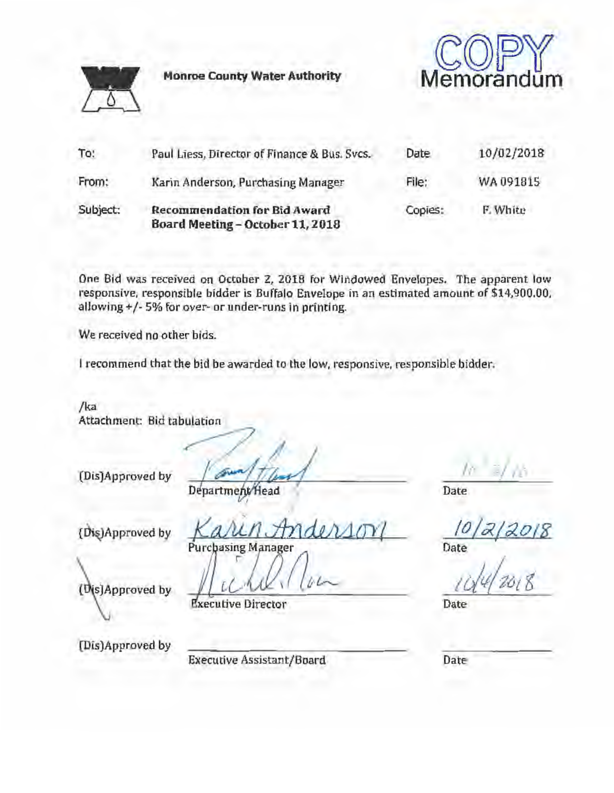**Monroe County Water Authority** 



Memorandum

| To:      | Paul Liess, Director of Finance & Bus. Svcs.                            | Date    | 10/02/2018 |
|----------|-------------------------------------------------------------------------|---------|------------|
| From:    | Karin Anderson, Purchasing Manager                                      | File:   | WA 091815  |
| Subject: | <b>Recommendation for Bid Award</b><br>Board Meeting - October 11, 2018 | Copies: | F. White   |

One Bid was received on October Z, 2018 for Windowed Envelopes. The apparent low responsive, responsible bidder is Buf'falo Envelope in an estimated amount of \$14,900.00, allowing+/- 5% for over- or under-runs in printing.

We received no other bids.

I recommend that the bid be awarded to the low, responsive, responsible bidder.

/ka Attachment: Bid tabulation

cm•JA••"'"' by ~ l!J;a~Wi/ I I

{~ proved by *KaJUn,* tJ-ri *dJMtTY/* 

Purchasing Manager

r.,(.,.,' *ld!\ ( { (/* (,,,..\_

(Dis)Approved by

**Executive Director** 

(Dis)Approved by

Executive Assistant/Board

Date

 $\frac{10}{22}$ <br>Date<br> $10/4$   $2018$ 

Date

Date